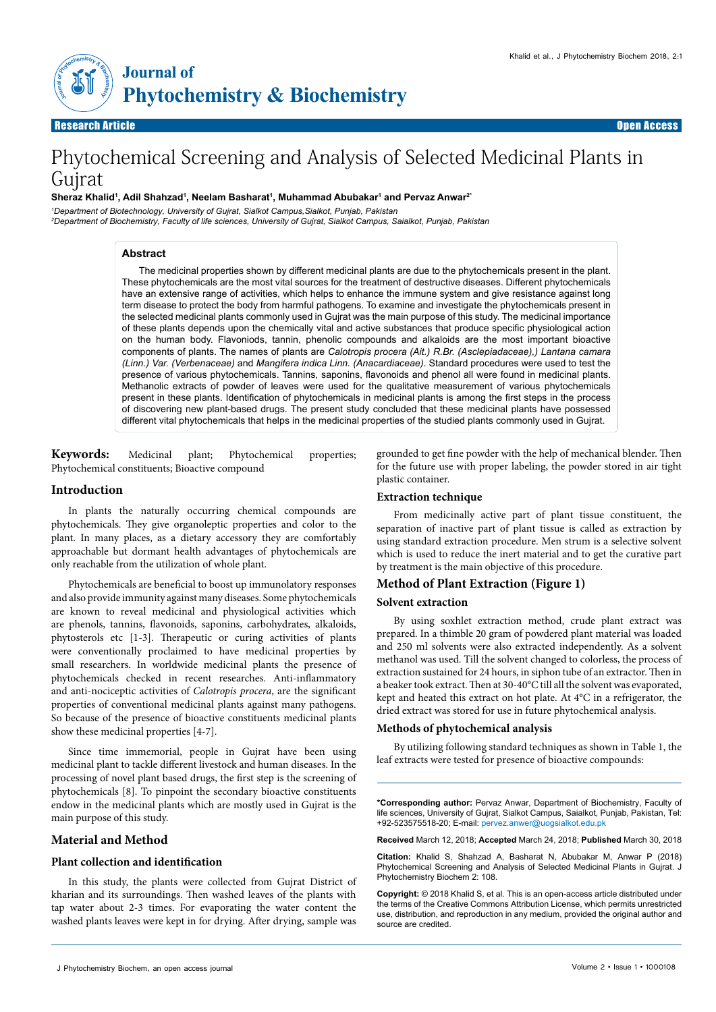

Research Article Open Access Open Access

# Phytochemical Screening and Analysis of Selected Medicinal Plants in Gujrat

## **Sheraz Khalid1 , Adil Shahzad1 , Neelam Basharat1 , Muhammad Abubakar1 and Pervaz Anwar2\***

*1 Department of Biotechnology, University of Gujrat, Sialkot Campus,Sialkot, Punjab, Pakistan 2 Department of Biochemistry, Faculty of life sciences, University of Gujrat, Sialkot Campus, Saialkot, Punjab, Pakistan*

# **Abstract**

The medicinal properties shown by different medicinal plants are due to the phytochemicals present in the plant. These phytochemicals are the most vital sources for the treatment of destructive diseases. Different phytochemicals have an extensive range of activities, which helps to enhance the immune system and give resistance against long term disease to protect the body from harmful pathogens. To examine and investigate the phytochemicals present in the selected medicinal plants commonly used in Gujrat was the main purpose of this study. The medicinal importance of these plants depends upon the chemically vital and active substances that produce specific physiological action on the human body. Flavoniods, tannin, phenolic compounds and alkaloids are the most important bioactive components of plants. The names of plants are *Calotropis procera (Ait.) R.Br. (Asclepiadaceae),) Lantana camara (Linn.) Var. (Verbenaceae)* and *Mangifera indica Linn. (Anacardiaceae)*. Standard procedures were used to test the presence of various phytochemicals. Tannins, saponins, flavonoids and phenol all were found in medicinal plants. Methanolic extracts of powder of leaves were used for the qualitative measurement of various phytochemicals present in these plants. Identification of phytochemicals in medicinal plants is among the first steps in the process of discovering new plant-based drugs. The present study concluded that these medicinal plants have possessed different vital phytochemicals that helps in the medicinal properties of the studied plants commonly used in Gujrat.

**Keywords:** Medicinal plant; Phytochemical properties; Phytochemical constituents; Bioactive compound

## **Introduction**

In plants the naturally occurring chemical compounds are phytochemicals. They give organoleptic properties and color to the plant. In many places, as a dietary accessory they are comfortably approachable but dormant health advantages of phytochemicals are only reachable from the utilization of whole plant.

Phytochemicals are beneficial to boost up immunolatory responses and also provide immunity against many diseases. Some phytochemicals are known to reveal medicinal and physiological activities which are phenols, tannins, flavonoids, saponins, carbohydrates, alkaloids, phytosterols etc [1-3]. Therapeutic or curing activities of plants were conventionally proclaimed to have medicinal properties by small researchers. In worldwide medicinal plants the presence of phytochemicals checked in recent researches. Anti-inflammatory and anti-nociceptic activities of *Calotropis procera*, are the significant properties of conventional medicinal plants against many pathogens. So because of the presence of bioactive constituents medicinal plants show these medicinal properties [4-7].

Since time immemorial, people in Gujrat have been using medicinal plant to tackle different livestock and human diseases. In the processing of novel plant based drugs, the first step is the screening of phytochemicals [8]. To pinpoint the secondary bioactive constituents endow in the medicinal plants which are mostly used in Gujrat is the main purpose of this study.

# **Material and Method**

## **Plant collection and identification**

In this study, the plants were collected from Gujrat District of kharian and its surroundings. Then washed leaves of the plants with tap water about 2-3 times. For evaporating the water content the washed plants leaves were kept in for drying. After drying, sample was grounded to get fine powder with the help of mechanical blender. Then for the future use with proper labeling, the powder stored in air tight plastic container.

## **Extraction technique**

From medicinally active part of plant tissue constituent, the separation of inactive part of plant tissue is called as extraction by using standard extraction procedure. Men strum is a selective solvent which is used to reduce the inert material and to get the curative part by treatment is the main objective of this procedure.

## **Method of Plant Extraction (Figure 1)**

#### **Solvent extraction**

By using soxhlet extraction method, crude plant extract was prepared. In a thimble 20 gram of powdered plant material was loaded and 250 ml solvents were also extracted independently. As a solvent methanol was used. Till the solvent changed to colorless, the process of extraction sustained for 24 hours, in siphon tube of an extractor. Then in a beaker took extract. Then at 30-40°C till all the solvent was evaporated, kept and heated this extract on hot plate. At 4°C in a refrigerator, the dried extract was stored for use in future phytochemical analysis.

### **Methods of phytochemical analysis**

By utilizing following standard techniques as shown in Table 1, the leaf extracts were tested for presence of bioactive compounds:

**\*Corresponding author:** Pervaz Anwar, Department of Biochemistry, Faculty of life sciences, University of Gujrat, Sialkot Campus, Saialkot, Punjab, Pakistan, Tel: +92-523575518-20; E-mail: [pervez.anwer@uogsialkot.edu.pk](mailto:pervez.anwer@uogsialkot.edu.pk)

**Received** March 12, 2018; **Accepted** March 24, 2018; **Published** March 30, 2018

**Citation:** Khalid S, Shahzad A, Basharat N, Abubakar M, Anwar P (2018) Phytochemical Screening and Analysis of Selected Medicinal Plants in Gujrat. J Phytochemistry Biochem 2: 108.

**Copyright:** © 2018 Khalid S, et al. This is an open-access article distributed under the terms of the Creative Commons Attribution License, which permits unrestricted use, distribution, and reproduction in any medium, provided the original author and source are credited.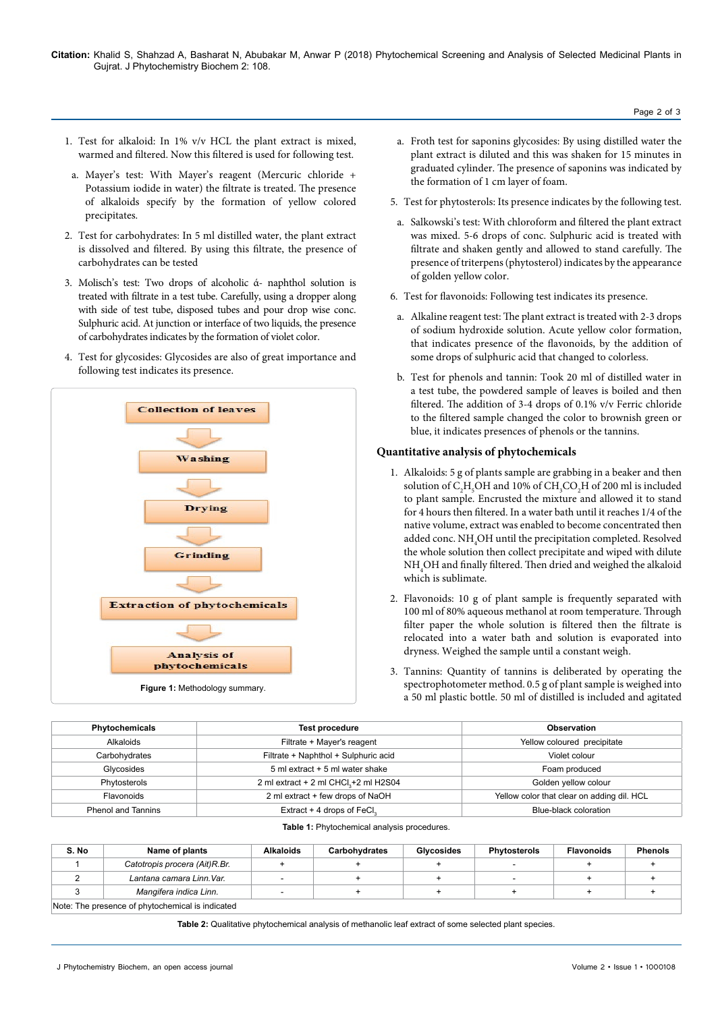- 1. Test for alkaloid: In 1% v/v HCL the plant extract is mixed, warmed and filtered. Now this filtered is used for following test.
- a. Mayer's test: With Mayer's reagent (Mercuric chloride + Potassium iodide in water) the filtrate is treated. The presence of alkaloids specify by the formation of yellow colored precipitates.
- 2. Test for carbohydrates: In 5 ml distilled water, the plant extract is dissolved and filtered. By using this filtrate, the presence of carbohydrates can be tested
- 3. Molisch's test: Two drops of alcoholic ά- naphthol solution is treated with filtrate in a test tube. Carefully, using a dropper along with side of test tube, disposed tubes and pour drop wise conc. Sulphuric acid. At junction or interface of two liquids, the presence of carbohydrates indicates by the formation of violet color.
- 4. Test for glycosides: Glycosides are also of great importance and following test indicates its presence.



- a. Froth test for saponins glycosides: By using distilled water the plant extract is diluted and this was shaken for 15 minutes in graduated cylinder. The presence of saponins was indicated by the formation of 1 cm layer of foam.
- 5. Test for phytosterols: Its presence indicates by the following test.
- a. Salkowski's test: With chloroform and filtered the plant extract was mixed. 5-6 drops of conc. Sulphuric acid is treated with filtrate and shaken gently and allowed to stand carefully. The presence of triterpens (phytosterol) indicates by the appearance of golden yellow color.
- 6. Test for flavonoids: Following test indicates its presence.
- a. Alkaline reagent test: The plant extract is treated with 2-3 drops of sodium hydroxide solution. Acute yellow color formation, that indicates presence of the flavonoids, by the addition of some drops of sulphuric acid that changed to colorless.
- b. Test for phenols and tannin: Took 20 ml of distilled water in a test tube, the powdered sample of leaves is boiled and then filtered. The addition of 3-4 drops of 0.1% v/v Ferric chloride to the filtered sample changed the color to brownish green or blue, it indicates presences of phenols or the tannins.

# **Quantitative analysis of phytochemicals**

- 1. Alkaloids: 5 g of plants sample are grabbing in a beaker and then solution of  $C_2H_5OH$  and 10% of  $CH_3CO_2H$  of 200 ml is included to plant sample. Encrusted the mixture and allowed it to stand for 4 hours then filtered. In a water bath until it reaches 1/4 of the native volume, extract was enabled to become concentrated then added conc.  $\mathrm{NH}_4\mathrm{OH}$  until the precipitation completed. Resolved the whole solution then collect precipitate and wiped with dilute  $\mathrm{NH}_4\mathrm{OH}$  and finally filtered. Then dried and weighed the alkaloid which is sublimate.
- 2. Flavonoids: 10 g of plant sample is frequently separated with 100 ml of 80% aqueous methanol at room temperature. Through filter paper the whole solution is filtered then the filtrate is relocated into a water bath and solution is evaporated into dryness. Weighed the sample until a constant weigh.
- 3. Tannins: Quantity of tannins is deliberated by operating the spectrophotometer method. 0.5 g of plant sample is weighed into a 50 ml plastic bottle. 50 ml of distilled is included and agitated

| Phytochemicals            | <b>Test procedure</b>                             | <b>Observation</b>                         |  |  |
|---------------------------|---------------------------------------------------|--------------------------------------------|--|--|
| Alkaloids                 | Filtrate + Mayer's reagent                        | Yellow coloured precipitate                |  |  |
| Carbohydrates             | Filtrate + Naphthol + Sulphuric acid              | Violet colour                              |  |  |
| Glycosides                | 5 ml extract + 5 ml water shake                   | Foam produced                              |  |  |
| Phytosterols              | 2 ml extract + 2 ml CHCl <sub>3</sub> +2 ml H2S04 | Golden yellow colour                       |  |  |
| Flavonoids                | 2 ml extract + few drops of NaOH                  | Yellow color that clear on adding dil. HCL |  |  |
| <b>Phenol and Tannins</b> | Extract + 4 drops of FeCl <sub>2</sub>            | Blue-black coloration                      |  |  |

#### **Table 1:** Phytochemical analysis procedures.

| S. No                                            | Name of plants                | Alkaloids                | Carbohydrates | <b>Glycosides</b> | <b>Phytosterols</b> | <b>Flavonoids</b> | <b>Phenols</b> |  |  |
|--------------------------------------------------|-------------------------------|--------------------------|---------------|-------------------|---------------------|-------------------|----------------|--|--|
|                                                  | Catotropis procera (Ait)R.Br. |                          |               |                   |                     |                   |                |  |  |
|                                                  | Lantana camara Linn. Var.     | $\overline{\phantom{a}}$ |               |                   |                     |                   |                |  |  |
|                                                  | Mangifera indica Linn.        | $\overline{\phantom{a}}$ |               |                   |                     |                   |                |  |  |
| Note: The presence of phytochemical is indicated |                               |                          |               |                   |                     |                   |                |  |  |

**Table 2:** Qualitative phytochemical analysis of methanolic leaf extract of some selected plant species.